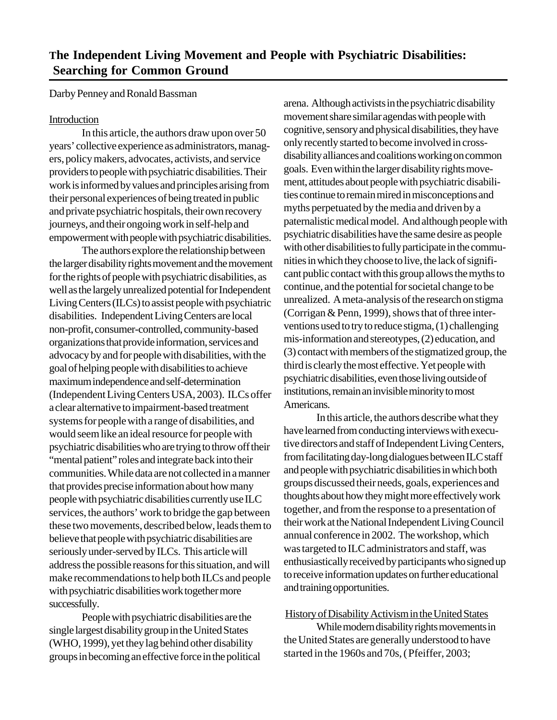Darby Penney and Ronald Bassman

# Introduction

In this article, the authors draw upon over 50 years' collective experience as administrators, managers, policy makers, advocates, activists, and service providers to people with psychiatric disabilities. Their work is informed by values and principles arising from their personal experiences of being treated in public and private psychiatric hospitals, their own recovery journeys, and their ongoing work in self-help and empowerment with people with psychiatric disabilities.

The authors explore the relationship between the larger disability rights movement and the movement for the rights of people with psychiatric disabilities, as well as the largely unrealized potential for Independent Living Centers (ILCs) to assist people with psychiatric disabilities. Independent Living Centers are local non-profit, consumer-controlled, community-based organizations that provide information, services and advocacy by and for people with disabilities, with the goal of helping people with disabilities to achieve maximum independence and self-determination (Independent Living Centers USA, 2003). ILCs offer a clear alternative to impairment-based treatment systems for people with a range of disabilities, and would seem like an ideal resource for people with psychiatric disabilities who are trying to throw off their "mental patient" roles and integrate back into their communities. While data are not collected in a manner that provides precise information about how many people with psychiatric disabilities currently use ILC services, the authors' work to bridge the gap between these two movements, described below, leads them to believe that people with psychiatric disabilities are seriously under-served by ILCs. This article will address the possible reasons for this situation, and will make recommendations to help both ILCs and people with psychiatric disabilities work together more successfully.

People with psychiatric disabilities are the single largest disability group in the United States (WHO, 1999), yet they lag behind other disability groups in becoming an effective force in the political arena. Although activists in the psychiatric disability movement share similar agendas with people with cognitive, sensory and physical disabilities, they have only recently started to become involved in crossdisability alliances and coalitions working on common goals. Even within the larger disability rights movement, attitudes about people with psychiatric disabilities continue to remain mired in misconceptions and myths perpetuated by the media and driven by a paternalistic medical model. And although people with psychiatric disabilities have the same desire as people with other disabilities to fully participate in the communities in which they choose to live, the lack of significant public contact with this group allows the myths to continue, and the potential for societal change to be unrealized. A meta-analysis of the research on stigma (Corrigan & Penn, 1999), shows that of three interventions used to try to reduce stigma, (1) challenging mis-information and stereotypes, (2) education, and (3) contact with members of the stigmatized group, the third is clearly the most effective. Yet people with psychiatric disabilities, even those living outside of institutions, remain an invisible minority to most Americans.

In this article, the authors describe what they have learned from conducting interviews with executive directors and staff of Independent Living Centers, from facilitating day-long dialogues between ILC staff and people with psychiatric disabilities in which both groups discussed their needs, goals, experiences and thoughts about how they might more effectively work together, and from the response to a presentation of their work at the National Independent Living Council annual conference in 2002. The workshop, which was targeted to ILC administrators and staff, was enthusiastically received by participants who signed up to receive information updates on further educational and training opportunities.

# History of Disability Activism in the United States

While modern disability rights movements in the United States are generally understood to have started in the 1960s and 70s, (Pfeiffer, 2003;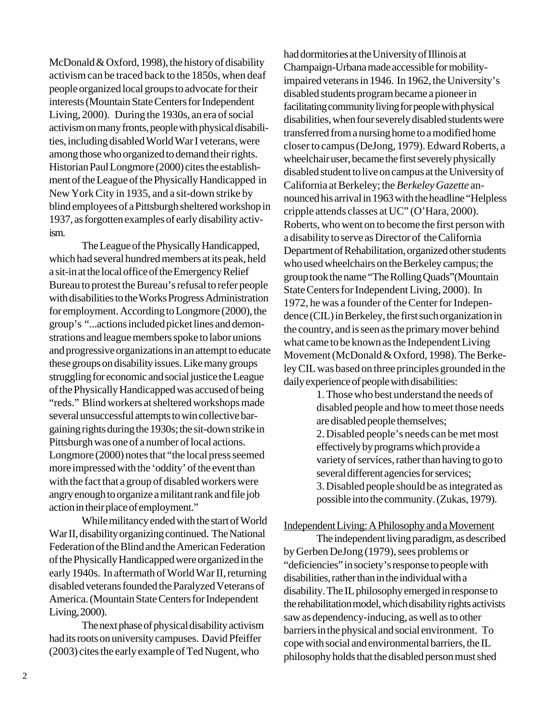McDonald & Oxford, 1998), the history of disability activism can be traced back to the 1850s, when deaf people organized local groups to advocate for their interests (Mountain State Centers for Independent Living, 2000). During the 1930s, an era of social activism on many fronts, people with physical disabilities, including disabled World War I veterans, were among those who organized to demand their rights. Historian Paul Longmore (2000) cites the establishment of the League of the Physically Handicapped in New York City in 1935, and a sit-down strike by blind employees of a Pittsburgh sheltered workshop in 1937, as forgotten examples of early disability activism.

The League of the Physically Handicapped, which had several hundred members at its peak, held a sit-in at the local office of the Emergency Relief Bureau to protest the Bureau's refusal to refer people with disabilities to the Works Progress Administration for employment. According to Longmore (2000), the group's "...actions included picket lines and demonstrations and league members spoke to labor unions and progressive organizations in an attempt to educate these groups on disability issues. Like many groups struggling for economic and social justice the League of the Physically Handicapped was accused of being "reds." Blind workers at sheltered workshops made several unsuccessful attempts to win collective bargaining rights during the 1930s; the sit-down strike in Pittsburgh was one of a number of local actions. Longmore (2000) notes that "the local press seemed more impressed with the 'oddity' of the event than with the fact that a group of disabled workers were angry enough to organize a militant rank and file job action in their place of employment."

While militancy ended with the start of World War II, disability organizing continued. The National Federation of the Blind and the American Federation of the Physically Handicapped were organized in the early 1940s. In aftermath of World War II, returning disabled veterans founded the Paralyzed Veterans of America. (Mountain State Centers for Independent Living, 2000).

The next phase of physical disability activism had its roots on university campuses. David Pfeiffer (2003) cites the early example of Ted Nugent, who

had dormitories at the University of Illinois at Champaign-Urbana made accessible for mobilityimpaired veterans in 1946. In 1962, the University's disabled students program became a pioneer in facilitating community living for people with physical disabilities, when four severely disabled students were transferred from a nursing home to a modified home closer to campus (DeJong, 1979). Edward Roberts, a wheelchair user, became the first severely physically disabled student to live on campus at the University of California at Berkeley; the *Berkeley Gazette* announced his arrival in 1963 with the headline "Helpless cripple attends classes at UC" (O'Hara, 2000). Roberts, who went on to become the first person with a disability to serve as Director of the California Department of Rehabilitation, organized other students who used wheelchairs on the Berkeley campus; the group took the name "The Rolling Quads"(Mountain State Centers for Independent Living, 2000). In 1972, he was a founder of the Center for Independence (CIL) in Berkeley, the first such organization in the country, and is seen as the primary mover behind what came to be known as the Independent Living Movement (McDonald & Oxford, 1998). The Berkeley CIL was based on three principles grounded in the daily experience of people with disabilities:

> 1. Those who best understand the needs of disabled people and how to meet those needs are disabled people themselves; 2. Disabled people's needs can be met most effectively by programs which provide a variety of services, rather than having to go to several different agencies for services; 3. Disabled people should be as integrated as possible into the community. (Zukas, 1979).

Independent Living: A Philosophy and a Movement

The independent living paradigm, as described by Gerben DeJong (1979), sees problems or "deficiencies" in society's response to people with disabilities, rather than in the individual with a disability. The IL philosophy emerged in response to the rehabilitation model, which disability rights activists saw as dependency-inducing, as well as to other barriers in the physical and social environment. To cope with social and environmental barriers, the IL philosophy holds that the disabled person must shed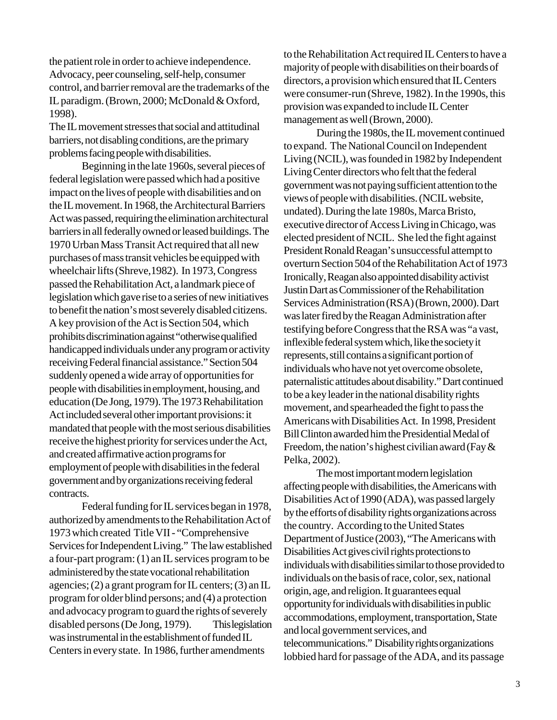the patient role in order to achieve independence. Advocacy, peer counseling, self-help, consumer control, and barrier removal are the trademarks of the IL paradigm. (Brown, 2000; McDonald & Oxford, 1998).

The IL movement stresses that social and attitudinal barriers, not disabling conditions, are the primary problems facing people with disabilities.

Beginning in the late 1960s, several pieces of federal legislation were passed which had a positive impact on the lives of people with disabilities and on the IL movement. In 1968, the Architectural Barriers Act was passed, requiring the elimination architectural barriers in all federally owned or leased buildings. The 1970 Urban Mass Transit Act required that all new purchases of mass transit vehicles be equipped with wheelchair lifts (Shreve,1982). In 1973, Congress passed the Rehabilitation Act, a landmark piece of legislation which gave rise to a series of new initiatives to benefit the nation's most severely disabled citizens. A key provision of the Act is Section 504, which prohibits discrimination against "otherwise qualified handicapped individuals under any program or activity receiving Federal financial assistance." Section 504 suddenly opened a wide array of opportunities for people with disabilities in employment, housing, and education (De Jong, 1979). The 1973 Rehabilitation Act included several other important provisions: it mandated that people with the most serious disabilities receive the highest priority for services under the Act, and created affirmative action programs for employment of people with disabilities in the federal government and by organizations receiving federal contracts.

Federal funding for IL services began in 1978, authorized by amendments to the Rehabilitation Act of 1973 which created Title VII - "Comprehensive Services for Independent Living." The law established a four-part program: (1) an IL services program to be administered by the state vocational rehabilitation agencies; (2) a grant program for IL centers; (3) an IL program for older blind persons; and (4) a protection and advocacy program to guard the rights of severely disabled persons (De Jong, 1979). This legislation was instrumental in the establishment of funded IL Centers in every state. In 1986, further amendments

to the Rehabilitation Act required IL Centers to have a majority of people with disabilities on their boards of directors, a provision which ensured that IL Centers were consumer-run (Shreve, 1982). In the 1990s, this provision was expanded to include IL Center management as well (Brown, 2000).

During the 1980s, the IL movement continued to expand. The National Council on Independent Living (NCIL), was founded in 1982 by Independent Living Center directors who felt that the federal government was not paying sufficient attention to the views of people with disabilities. (NCIL website, undated). During the late 1980s, Marca Bristo, executive director of Access Living in Chicago, was elected president of NCIL. She led the fight against President Ronald Reagan's unsuccessful attempt to overturn Section 504 of the Rehabilitation Act of 1973 Ironically, Reagan also appointed disability activist Justin Dart as Commissioner of the Rehabilitation Services Administration (RSA) (Brown, 2000). Dart was later fired by the Reagan Administration after testifying before Congress that the RSA was "a vast, inflexible federal system which, like the society it represents, still contains a significant portion of individuals who have not yet overcome obsolete, paternalistic attitudes about disability." Dart continued to be a key leader in the national disability rights movement, and spearheaded the fight to pass the Americans with Disabilities Act. In 1998, President Bill Clinton awarded him the Presidential Medal of Freedom, the nation's highest civilian award (Fay  $\&$ Pelka, 2002).

The most important modern legislation affecting people with disabilities, the Americans with Disabilities Act of 1990 (ADA), was passed largely by the efforts of disability rights organizations across the country. According to the United States Department of Justice (2003), "The Americans with Disabilities Act gives civil rights protections to individuals with disabilities similar to those provided to individuals on the basis of race, color, sex, national origin, age, and religion. It guarantees equal opportunity for individuals with disabilities in public accommodations, employment, transportation, State and local government services, and telecommunications." Disability rights organizations lobbied hard for passage of the ADA, and its passage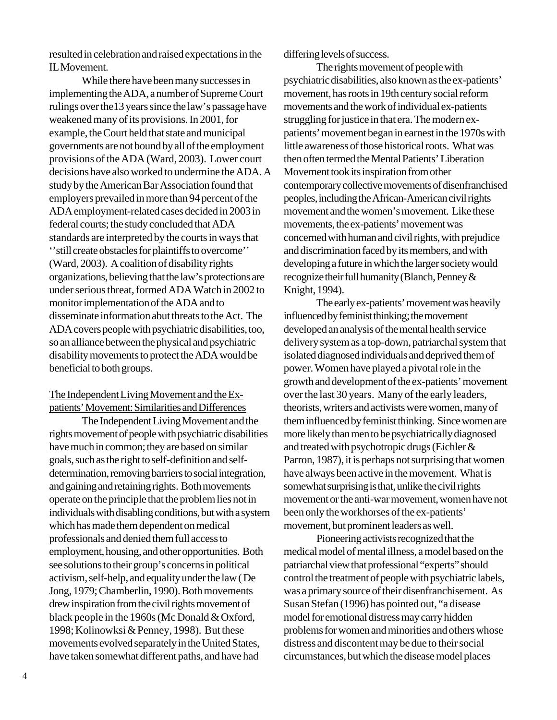resulted in celebration and raised expectations in the IL Movement.

While there have been many successes in implementing the ADA, a number of Supreme Court rulings over the13 years since the law's passage have weakened many of its provisions. In 2001, for example, the Court held that state and municipal governments are not bound by all of the employment provisions of the ADA (Ward, 2003). Lower court decisions have also worked to undermine the ADA. A study by the American Bar Association found that employers prevailed in more than 94 percent of the ADA employment-related cases decided in 2003 in federal courts; the study concluded that ADA standards are interpreted by the courts in ways that ''still create obstacles for plaintiffs to overcome'' (Ward, 2003). A coalition of disability rights organizations, believing that the law's protections are under serious threat, formed ADA Watch in 2002 to monitor implementation of the ADA and to disseminate information abut threats to the Act. The ADA covers people with psychiatric disabilities, too, so an alliance between the physical and psychiatric disability movements to protect the ADA would be beneficial to both groups.

### The Independent Living Movement and the Expatients' Movement: Similarities and Differences

The Independent Living Movement and the rights movement of people with psychiatric disabilities have much in common; they are based on similar goals, such as the right to self-definition and selfdetermination, removing barriers to social integration, and gaining and retaining rights. Both movements operate on the principle that the problem lies not in individuals with disabling conditions, but with a system which has made them dependent on medical professionals and denied them full access to employment, housing, and other opportunities. Both see solutions to their group's concerns in political activism, self-help, and equality under the law ( De Jong, 1979; Chamberlin, 1990). Both movements drew inspiration from the civil rights movement of black people in the 1960s (Mc Donald & Oxford, 1998; Kolinowksi & Penney, 1998). But these movements evolved separately in the United States, have taken somewhat different paths, and have had

differing levels of success.

The rights movement of people with psychiatric disabilities, also known as the ex-patients' movement, has roots in 19th century social reform movements and the work of individual ex-patients struggling for justice in that era. The modern expatients' movement began in earnest in the 1970s with little awareness of those historical roots. What was then often termed the Mental Patients' Liberation Movement took its inspiration from other contemporary collective movements of disenfranchised peoples, including the African-American civil rights movement and the women's movement. Like these movements, the ex-patients' movement was concerned with human and civil rights, with prejudice and discrimination faced by its members, and with developing a future in which the larger society would recognize their full humanity (Blanch, Penney & Knight, 1994).

The early ex-patients' movement was heavily influenced by feminist thinking; the movement developed an analysis of the mental health service delivery system as a top-down, patriarchal system that isolated diagnosed individuals and deprived them of power. Women have played a pivotal role in the growth and development of the ex-patients' movement over the last 30 years. Many of the early leaders, theorists, writers and activists were women, many of them influenced by feminist thinking. Since women are more likely than men to be psychiatrically diagnosed and treated with psychotropic drugs (Eichler & Parron, 1987), it is perhaps not surprising that women have always been active in the movement. What is somewhat surprising is that, unlike the civil rights movement or the anti-war movement, women have not been only the workhorses of the ex-patients' movement, but prominent leaders as well.

Pioneering activists recognized that the medical model of mental illness, a model based on the patriarchal view that professional "experts" should control the treatment of people with psychiatric labels, was a primary source of their disenfranchisement. As Susan Stefan (1996) has pointed out, "a disease model for emotional distress may carry hidden problems for women and minorities and others whose distress and discontent may be due to their social circumstances, but which the disease model places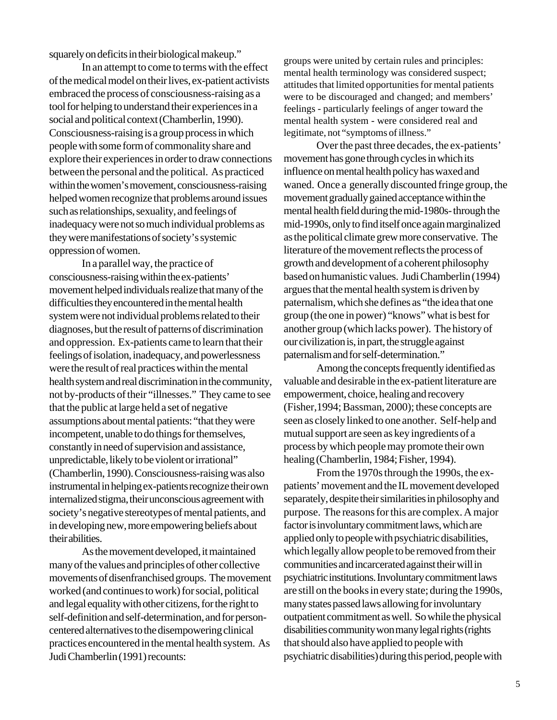squarely on deficits in their biological makeup."

In an attempt to come to terms with the effect of the medical model on their lives, ex-patient activists embraced the process of consciousness-raising as a tool for helping to understand their experiences in a social and political context (Chamberlin, 1990). Consciousness-raising is a group process in which people with some form of commonality share and explore their experiences in order to draw connections between the personal and the political. As practiced within the women's movement, consciousness-raising helped women recognize that problems around issues such as relationships, sexuality, and feelings of inadequacy were not so much individual problems as they were manifestations of society's systemic oppression of women.

In a parallel way, the practice of consciousness-raising within the ex-patients' movement helped individuals realize that many of the difficulties they encountered in the mental health system were not individual problems related to their diagnoses, but the result of patterns of discrimination and oppression. Ex-patients came to learn that their feelings of isolation, inadequacy, and powerlessness were the result of real practices within the mental health system and real discrimination in the community, not by-products of their "illnesses." They came to see that the public at large held a set of negative assumptions about mental patients: "that they were incompetent, unable to do things for themselves, constantly in need of supervision and assistance, unpredictable, likely to be violent or irrational" (Chamberlin, 1990). Consciousness-raising was also instrumental in helping ex-patients recognize their own internalized stigma, their unconscious agreement with society's negative stereotypes of mental patients, and in developing new, more empowering beliefs about their abilities.

As the movement developed, it maintained many of the values and principles of other collective movements of disenfranchised groups. The movement worked (and continues to work) for social, political and legal equality with other citizens, for the right to self-definition and self-determination, and for personcentered alternatives to the disempowering clinical practices encountered in the mental health system. As Judi Chamberlin (1991) recounts:

groups were united by certain rules and principles: mental health terminology was considered suspect; attitudes that limited opportunities for mental patients were to be discouraged and changed; and members' feelings - particularly feelings of anger toward the mental health system - were considered real and legitimate, not "symptoms of illness."

Over the past three decades, the ex-patients' movement has gone through cycles in which its influence on mental health policy has waxed and waned. Once a generally discounted fringe group, the movement gradually gained acceptance within the mental health field during the mid-1980s- through the mid-1990s, only to find itself once again marginalized as the political climate grew more conservative. The literature of the movement reflects the process of growth and development of a coherent philosophy based on humanistic values. Judi Chamberlin (1994) argues that the mental health system is driven by paternalism, which she defines as "the idea that one group (the one in power) "knows" what is best for another group (which lacks power). The history of our civilization is, in part, the struggle against paternalism and for self-determination."

Among the concepts frequently identified as valuable and desirable in the ex-patient literature are empowerment, choice, healing and recovery (Fisher,1994; Bassman, 2000); these concepts are seen as closely linked to one another. Self-help and mutual support are seen as key ingredients of a process by which people may promote their own healing (Chamberlin, 1984; Fisher, 1994).

From the 1970s through the 1990s, the expatients' movement and the IL movement developed separately, despite their similarities in philosophy and purpose. The reasons for this are complex. A major factor is involuntary commitment laws, which are applied only to people with psychiatric disabilities, which legally allow people to be removed from their communities and incarcerated against their will in psychiatric institutions. Involuntary commitment laws are still on the books in every state; during the 1990s, many states passed laws allowing for involuntary outpatient commitment as well. So while the physical disabilities community won many legal rights (rights that should also have applied to people with psychiatric disabilities) during this period, people with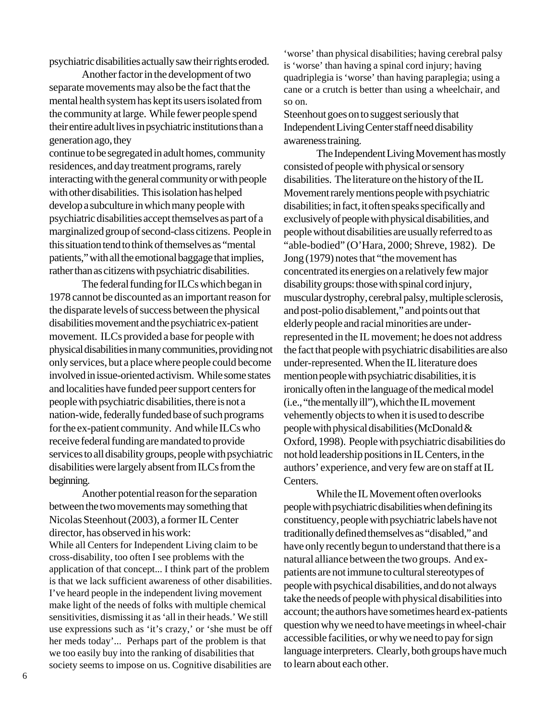psychiatric disabilities actually saw their rights eroded.

Another factor in the development of two separate movements may also be the fact that the mental health system has kept its users isolated from the community at large. While fewer people spend their entire adult lives in psychiatric institutions than a generation ago, they

continue to be segregated in adult homes, community residences, and day treatment programs, rarely interacting with the general community or with people with other disabilities. This isolation has helped develop a subculture in which many people with psychiatric disabilities accept themselves as part of a marginalized group of second-class citizens. People in this situation tend to think of themselves as "mental patients," with all the emotional baggage that implies, rather than as citizens with psychiatric disabilities.

The federal funding for ILCs which began in 1978 cannot be discounted as an important reason for the disparate levels of success between the physical disabilities movement and the psychiatric ex-patient movement. ILCs provided a base for people with physical disabilities in many communities, providing not only services, but a place where people could become involved in issue-oriented activism. While some states and localities have funded peer support centers for people with psychiatric disabilities, there is not a nation-wide, federally funded base of such programs for the ex-patient community. And while ILCs who receive federal funding are mandated to provide services to all disability groups, people with psychiatric disabilities were largely absent from ILCs from the beginning.

Another potential reason for the separation between the two movements may something that Nicolas Steenhout (2003), a former IL Center director, has observed in his work: While all Centers for Independent Living claim to be cross-disability, too often I see problems with the application of that concept... I think part of the problem is that we lack sufficient awareness of other disabilities. I've heard people in the independent living movement make light of the needs of folks with multiple chemical sensitivities, dismissing it as 'all in their heads.' We still use expressions such as 'it's crazy,' or 'she must be off her meds today'... Perhaps part of the problem is that we too easily buy into the ranking of disabilities that society seems to impose on us. Cognitive disabilities are

'worse' than physical disabilities; having cerebral palsy is 'worse' than having a spinal cord injury; having quadriplegia is 'worse' than having paraplegia; using a cane or a crutch is better than using a wheelchair, and so on.

Steenhout goes on to suggest seriously that Independent Living Center staff need disability awareness training.

The Independent Living Movement has mostly consisted of people with physical or sensory disabilities. The literature on the history of the IL Movement rarely mentions people with psychiatric disabilities; in fact, it often speaks specifically and exclusively of people with physical disabilities, and people without disabilities are usually referred to as "able-bodied" (O'Hara, 2000; Shreve, 1982). De Jong (1979) notes that "the movement has concentrated its energies on a relatively few major disability groups: those with spinal cord injury, muscular dystrophy, cerebral palsy, multiple sclerosis, and post-polio disablement," and points out that elderly people and racial minorities are underrepresented in the IL movement; he does not address the fact that people with psychiatric disabilities are also under-represented. When the IL literature does mention people with psychiatric disabilities, it is ironically often in the language of the medical model (i.e., "the mentally ill"), which the IL movement vehemently objects to when it is used to describe people with physical disabilities (McDonald & Oxford, 1998). People with psychiatric disabilities do not hold leadership positions in IL Centers, in the authors' experience, and very few are on staff at IL Centers.

While the IL Movement often overlooks people with psychiatric disabilities when defining its constituency, people with psychiatric labels have not traditionally defined themselves as "disabled," and have only recently begun to understand that there is a natural alliance between the two groups. And expatients are not immune to cultural stereotypes of people with psychical disabilities, and do not always take the needs of people with physical disabilities into account; the authors have sometimes heard ex-patients question why we need to have meetings in wheel-chair accessible facilities, or why we need to pay for sign language interpreters. Clearly, both groups have much to learn about each other.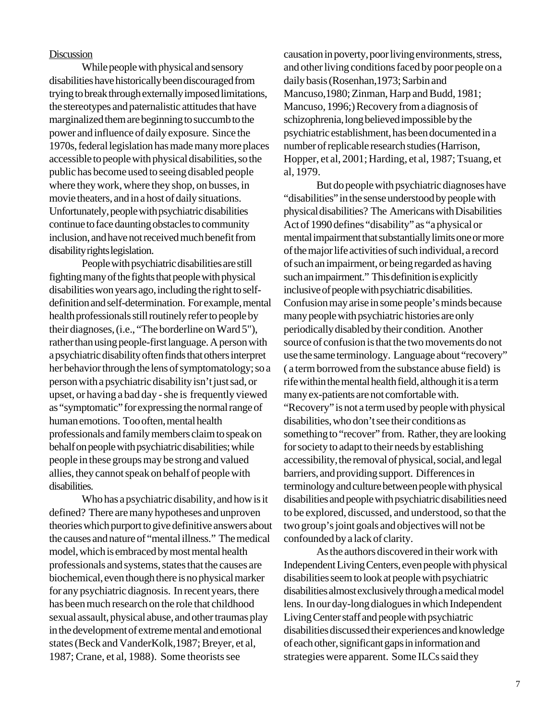#### **Discussion**

While people with physical and sensory disabilities have historically been discouraged from trying to break through externally imposed limitations, the stereotypes and paternalistic attitudes that have marginalized them are beginning to succumb to the power and influence of daily exposure. Since the 1970s, federal legislation has made many more places accessible to people with physical disabilities, so the public has become used to seeing disabled people where they work, where they shop, on busses, in movie theaters, and in a host of daily situations. Unfortunately, people with psychiatric disabilities continue to face daunting obstacles to community inclusion, and have not received much benefit from disability rights legislation.

People with psychiatric disabilities are still fighting many of the fights that people with physical disabilities won years ago, including the right to selfdefinition and self-determination. For example, mental health professionals still routinely refer to people by their diagnoses, (i.e., "The borderline on Ward 5"), rather than using people-first language. A person with a psychiatric disability often finds that others interpret her behavior through the lens of symptomatology; so a person with a psychiatric disability isn't just sad, or upset, or having a bad day - she is frequently viewed as "symptomatic" for expressing the normal range of human emotions. Too often, mental health professionals and family members claim to speak on behalf on people with psychiatric disabilities; while people in these groups may be strong and valued allies, they cannot speak on behalf of people with disabilities.

Who has a psychiatric disability, and how is it defined? There are many hypotheses and unproven theories which purport to give definitive answers about the causes and nature of "mental illness." The medical model, which is embraced by most mental health professionals and systems, states that the causes are biochemical, even though there is no physical marker for any psychiatric diagnosis. In recent years, there has been much research on the role that childhood sexual assault, physical abuse, and other traumas play in the development of extreme mental and emotional states (Beck and VanderKolk,1987; Breyer, et al, 1987; Crane, et al, 1988). Some theorists see

causation in poverty, poor living environments, stress, and other living conditions faced by poor people on a daily basis (Rosenhan,1973; Sarbin and Mancuso,1980; Zinman, Harp and Budd, 1981; Mancuso, 1996;) Recovery from a diagnosis of schizophrenia, long believed impossible by the psychiatric establishment, has been documented in a number of replicable research studies (Harrison, Hopper, et al, 2001; Harding, et al, 1987; Tsuang, et al, 1979.

But do people with psychiatric diagnoses have "disabilities" in the sense understood by people with physical disabilities? The Americans with Disabilities Act of 1990 defines "disability" as "a physical or mental impairment that substantially limits one or more of the major life activities of such individual, a record of such an impairment, or being regarded as having such an impairment." This definition is explicitly inclusive of people with psychiatric disabilities. Confusion may arise in some people's minds because many people with psychiatric histories are only periodically disabled by their condition. Another source of confusion is that the two movements do not use the same terminology. Language about "recovery" ( a term borrowed from the substance abuse field) is rife within the mental health field, although it is a term many ex-patients are not comfortable with. "Recovery" is not a term used by people with physical disabilities, who don't see their conditions as something to "recover" from. Rather, they are looking for society to adapt to their needs by establishing accessibility, the removal of physical, social, and legal barriers, and providing support. Differences in terminology and culture between people with physical disabilities and people with psychiatric disabilities need to be explored, discussed, and understood, so that the two group's joint goals and objectives will not be confounded by a lack of clarity.

As the authors discovered in their work with Independent Living Centers, even people with physical disabilities seem to look at people with psychiatric disabilities almost exclusively through a medical model lens. In our day-long dialogues in which Independent Living Center staff and people with psychiatric disabilities discussed their experiences and knowledge of each other, significant gaps in information and strategies were apparent. Some ILCs said they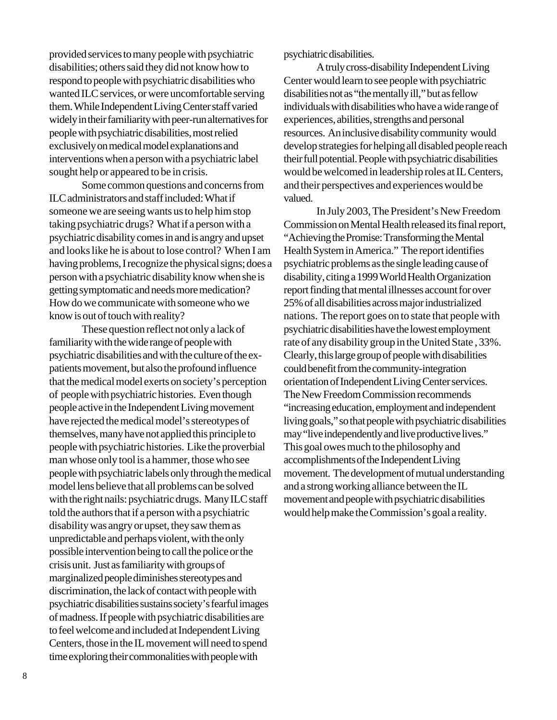provided services to many people with psychiatric disabilities; others said they did not know how to respond to people with psychiatric disabilities who wanted ILC services, or were uncomfortable serving them. While Independent Living Center staff varied widely in their familiarity with peer-run alternatives for people with psychiatric disabilities, most relied exclusively on medical model explanations and interventions when a person with a psychiatric label sought help or appeared to be in crisis.

Some common questions and concerns from ILC administrators and staff included: What if someone we are seeing wants us to help him stop taking psychiatric drugs? What if a person with a psychiatric disability comes in and is angry and upset and looks like he is about to lose control? When I am having problems, I recognize the physical signs; does a person with a psychiatric disability know when she is getting symptomatic and needs more medication? How do we communicate with someone who we know is out of touch with reality?

These question reflect not only a lack of familiarity with the wide range of people with psychiatric disabilities and with the culture of the expatients movement, but also the profound influence that the medical model exerts on society's perception of people with psychiatric histories. Even though people active in the Independent Living movement have rejected the medical model's stereotypes of themselves, many have not applied this principle to people with psychiatric histories. Like the proverbial man whose only tool is a hammer, those who see people with psychiatric labels only through the medical model lens believe that all problems can be solved with the right nails: psychiatric drugs. Many ILC staff told the authors that if a person with a psychiatric disability was angry or upset, they saw them as unpredictable and perhaps violent, with the only possible intervention being to call the police or the crisis unit. Just as familiarity with groups of marginalized people diminishes stereotypes and discrimination, the lack of contact with people with psychiatric disabilities sustains society's fearful images of madness. If people with psychiatric disabilities are to feel welcome and included at Independent Living Centers, those in the IL movement will need to spend time exploring their commonalities with people with

psychiatric disabilities.

A truly cross-disability Independent Living Center would learn to see people with psychiatric disabilities not as "the mentally ill," but as fellow individuals with disabilities who have a wide range of experiences, abilities, strengths and personal resources. An inclusive disability community would develop strategies for helping all disabled people reach their full potential. People with psychiatric disabilities would be welcomed in leadership roles at IL Centers, and their perspectives and experiences would be valued.

In July 2003, The President's New Freedom Commission on Mental Health released its final report, "Achieving the Promise: Transforming the Mental Health System in America." The report identifies psychiatric problems as the single leading cause of disability, citing a 1999 World Health Organization report finding that mental illnesses account for over 25% of all disabilities across major industrialized nations. The report goes on to state that people with psychiatric disabilities have the lowest employment rate of any disability group in the United State , 33%. Clearly, this large group of people with disabilities could benefit from the community-integration orientation of Independent Living Center services. The New Freedom Commission recommends "increasing education, employment and independent living goals," so that people with psychiatric disabilities may "live independently and live productive lives." This goal owes much to the philosophy and accomplishments of the Independent Living movement. The development of mutual understanding and a strong working alliance between the IL movement and people with psychiatric disabilities would help make the Commission's goal a reality.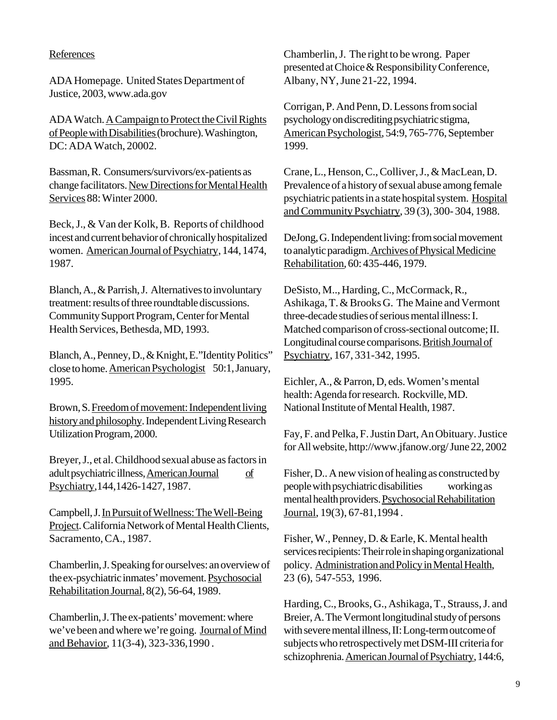### References

ADA Homepage. United States Department of Justice, 2003, www.ada.gov

ADA Watch. A Campaign to Protect the Civil Rights of People with Disabilities (brochure). Washington, DC: ADA Watch, 20002.

Bassman, R. Consumers/survivors/ex-patients as change facilitators. New Directions for Mental Health Services 88: Winter 2000.

Beck, J., & Van der Kolk, B. Reports of childhood incest and current behavior of chronically hospitalized women. American Journal of Psychiatry, 144, 1474, 1987.

Blanch, A., & Parrish, J. Alternatives to involuntary treatment: results of three roundtable discussions. Community Support Program, Center for Mental Health Services, Bethesda, MD, 1993.

Blanch, A., Penney, D., & Knight, E."Identity Politics" close to home. American Psychologist 50:1, January, 1995.

Brown, S. Freedom of movement: Independent living history and philosophy. Independent Living Research Utilization Program, 2000.

Breyer, J., et al. Childhood sexual abuse as factors in adult psychiatric illness, American Journal of Psychiatry,144,1426-1427, 1987.

Campbell, J. In Pursuit of Wellness: The Well-Being Project. California Network of Mental Health Clients, Sacramento, CA., 1987.

Chamberlin, J. Speaking for ourselves: an overview of the ex-psychiatric inmates' movement. Psychosocial Rehabilitation Journal, 8(2), 56-64, 1989.

Chamberlin, J. The ex-patients' movement: where we've been and where we're going. Journal of Mind and Behavior, 11(3-4), 323-336,1990 .

Chamberlin, J. The right to be wrong. Paper presented at Choice & Responsibility Conference, Albany, NY, June 21-22, 1994.

Corrigan, P. And Penn, D. Lessons from social psychology on discrediting psychiatric stigma, American Psychologist, 54:9, 765-776, September 1999.

Crane, L., Henson, C., Colliver, J., & MacLean, D. Prevalence of a history of sexual abuse among female psychiatric patients in a state hospital system. Hospital and Community Psychiatry, 39 (3), 300- 304, 1988.

DeJong, G. Independent living: from social movement to analytic paradigm. Archives of Physical Medicine Rehabilitation, 60: 435-446, 1979.

DeSisto, M.., Harding, C., McCormack, R., Ashikaga, T. & Brooks G. The Maine and Vermont three-decade studies of serious mental illness: I. Matched comparison of cross-sectional outcome; II. Longitudinal course comparisons. British Journal of Psychiatry, 167, 331-342, 1995.

Eichler, A., & Parron, D, eds. Women's mental health: Agenda for research. Rockville, MD. National Institute of Mental Health, 1987.

Fay, F. and Pelka, F. Justin Dart, An Obituary. Justice for All website, http://www.jfanow.org/ June 22, 2002

Fisher, D.. A new vision of healing as constructed by people with psychiatric disabilities working as mental health providers. Psychosocial Rehabilitation Journal, 19(3), 67-81,1994 .

Fisher, W., Penney, D. & Earle, K. Mental health services recipients: Their role in shaping organizational policy. Administration and Policy in Mental Health, 23 (6), 547-553, 1996.

Harding, C., Brooks, G., Ashikaga, T., Strauss, J. and Breier, A. The Vermont longitudinal study of persons with severe mental illness, II: Long-term outcome of subjects who retrospectively met DSM-III criteria for schizophrenia. American Journal of Psychiatry, 144:6,